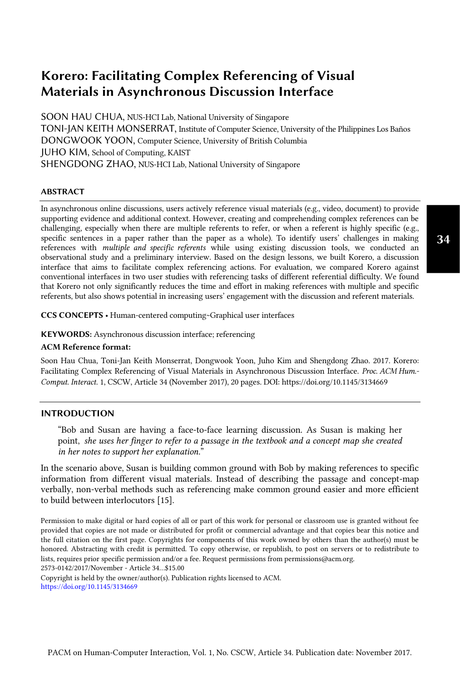SOON HAU CHUA, NUS-HCI Lab, National University of Singapore TONI-JAN KEITH MONSERRAT, Institute of Computer Science, University of the Philippines Los Baños DONGWOOK YOON, Computer Science, University of British Columbia JUHO KIM, School of Computing, KAIST SHENGDONG ZHAO, NUS-HCI Lab, National University of Singapore

### **ABSTRACT**

In asynchronous online discussions, users actively reference visual materials (e.g., video, document) to provide supporting evidence and additional context. However, creating and comprehending complex references can be challenging, especially when there are multiple referents to refer, or when a referent is highly specific (e.g., specific sentences in a paper rather than the paper as a whole). To identify users' challenges in making references with *multiple and specific referents* while using existing discussion tools, we conducted an observational study and a preliminary interview. Based on the design lessons, we built Korero, a discussion interface that aims to facilitate complex referencing actions. For evaluation, we compared Korero against conventional interfaces in two user studies with referencing tasks of different referential difficulty. We found that Korero not only significantly reduces the time and effort in making references with multiple and specific referents, but also shows potential in increasing users' engagement with the discussion and referent materials.

**CCS CONCEPTS** • Human-centered computing~Graphical user interfaces

**KEYWORDS:** Asynchronous discussion interface; referencing

#### **ACM Reference format:**

Soon Hau Chua, Toni-Jan Keith Monserrat, Dongwook Yoon, Juho Kim and Shengdong Zhao. 2017. Korero: Facilitating Complex Referencing of Visual Materials in Asynchronous Discussion Interface. *Proc. ACM Hum.- Comput. Interact.* 1, CSCW, Article 34 (November 2017), 20 pages. DOI: https://doi.org/10.1145/3134669

## **INTRODUCTION**

"Bob and Susan are having a face-to-face learning discussion. As Susan is making her point, *she uses her finger to refer to a passage in the textbook and a concept map she created in her notes to support her explanation*."

In the scenario above, Susan is building common ground with Bob by making references to specific information from different visual materials. Instead of describing the passage and concept-map verbally, non-verbal methods such as referencing make common ground easier and more efficient to build between interlocutors [15].

Permission to make digital or hard copies of all or part of this work for personal or classroom use is granted without fee provided that copies are not made or distributed for profit or commercial advantage and that copies bear this notice and the full citation on the first page. Copyrights for components of this work owned by others than the author(s) must be honored. Abstracting with credit is permitted. To copy otherwise, or republish, to post on servers or to redistribute to lists, requires prior specific permission and/or a fee. Request permissions from permissions@acm.org.

2573-0142/2017/November - Article 34…\$15.00

Copyright is held by the owner/author(s). Publication rights licensed to ACM. <https://doi.org/10.1145/3134669>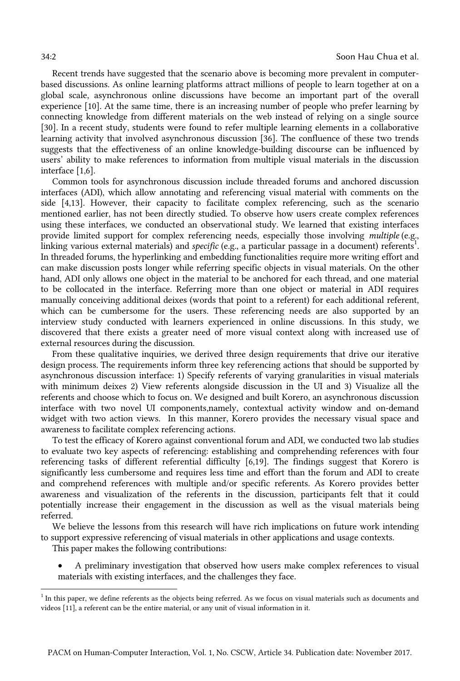Recent trends have suggested that the scenario above is becoming more prevalent in computerbased discussions. As online learning platforms attract millions of people to learn together at on a global scale, asynchronous online discussions have become an important part of the overall experience [10]. At the same time, there is an increasing number of people who prefer learning by connecting knowledge from different materials on the web instead of relying on a single source [30]. In a recent study, students were found to refer multiple learning elements in a collaborative learning activity that involved asynchronous discussion [36]. The confluence of these two trends suggests that the effectiveness of an online knowledge-building discourse can be influenced by users' ability to make references to information from multiple visual materials in the discussion interface [1,6].

Common tools for asynchronous discussion include threaded forums and anchored discussion interfaces (ADI), which allow annotating and referencing visual material with comments on the side [4,13]. However, their capacity to facilitate complex referencing, such as the scenario mentioned earlier, has not been directly studied. To observe how users create complex references using these interfaces, we conducted an observational study. We learned that existing interfaces provide limited support for complex referencing needs, especially those involving *multiple* (e.g., linking various external materials) and *specific* (e.g., a particular passage in a document) referents<sup>1</sup>. In threaded forums, the hyperlinking and embedding functionalities require more writing effort and can make discussion posts longer while referring specific objects in visual materials. On the other hand, ADI only allows one object in the material to be anchored for each thread, and one material to be collocated in the interface. Referring more than one object or material in ADI requires manually conceiving additional deixes (words that point to a referent) for each additional referent, which can be cumbersome for the users. These referencing needs are also supported by an interview study conducted with learners experienced in online discussions. In this study, we discovered that there exists a greater need of more visual context along with increased use of external resources during the discussion.

From these qualitative inquiries, we derived three design requirements that drive our iterative design process. The requirements inform three key referencing actions that should be supported by asynchronous discussion interface: 1) Specify referents of varying granularities in visual materials with minimum deixes 2) View referents alongside discussion in the UI and 3) Visualize all the referents and choose which to focus on. We designed and built Korero, an asynchronous discussion interface with two novel UI components,namely, contextual activity window and on-demand widget with two action views. In this manner, Korero provides the necessary visual space and awareness to facilitate complex referencing actions.

To test the efficacy of Korero against conventional forum and ADI, we conducted two lab studies to evaluate two key aspects of referencing: establishing and comprehending references with four referencing tasks of different referential difficulty [6,19]. The findings suggest that Korero is significantly less cumbersome and requires less time and effort than the forum and ADI to create and comprehend references with multiple and/or specific referents. As Korero provides better awareness and visualization of the referents in the discussion, participants felt that it could potentially increase their engagement in the discussion as well as the visual materials being referred.

We believe the lessons from this research will have rich implications on future work intending to support expressive referencing of visual materials in other applications and usage contexts.

This paper makes the following contributions:

 $\overline{a}$ 

 A preliminary investigation that observed how users make complex references to visual materials with existing interfaces, and the challenges they face.

<sup>1</sup> In this paper, we define referents as the objects being referred. As we focus on visual materials such as documents and videos [11], a referent can be the entire material, or any unit of visual information in it.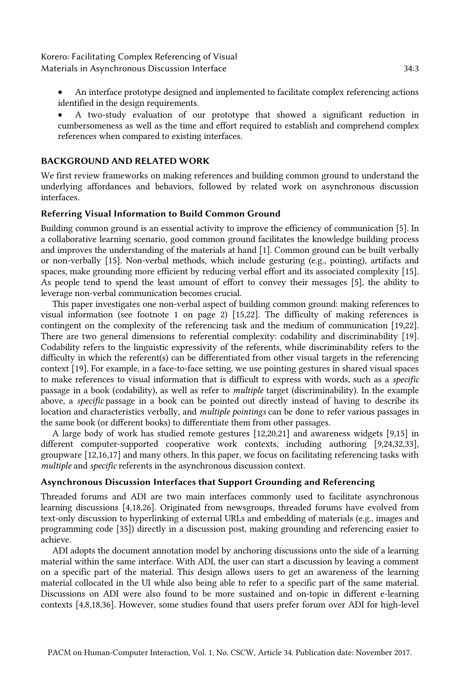- An interface prototype designed and implemented to facilitate complex referencing actions identified in the design requirements.
- A two-study evaluation of our prototype that showed a significant reduction in cumbersomeness as well as the time and effort required to establish and comprehend complex references when compared to existing interfaces.

## **BACKGROUND AND RELATED WORK**

We first review frameworks on making references and building common ground to understand the underlying affordances and behaviors, followed by related work on asynchronous discussion interfaces.

### **Referring Visual Information to Build Common Ground**

Building common ground is an essential activity to improve the efficiency of communication [5]. In a collaborative learning scenario, good common ground facilitates the knowledge building process and improves the understanding of the materials at hand [1]. Common ground can be built verbally or non-verbally [15]. Non-verbal methods, which include gesturing (e.g., pointing), artifacts and spaces, make grounding more efficient by reducing verbal effort and its associated complexity [15]. As people tend to spend the least amount of effort to convey their messages [5], the ability to leverage non-verbal communication becomes crucial.

This paper investigates one non-verbal aspect of building common ground: making references to visual information (see footnote 1 on page 2) [15,22]. The difficulty of making references is contingent on the complexity of the referencing task and the medium of communication [19,22]. There are two general dimensions to referential complexity: codability and discriminability [19]. Codability refers to the linguistic expressivity of the referents, while discriminability refers to the difficulty in which the referent(s) can be differentiated from other visual targets in the referencing context [19]. For example, in a face-to-face setting, we use pointing gestures in shared visual spaces to make references to visual information that is difficult to express with words, such as a *specific* passage in a book (codability), as well as refer to *multiple* target (discriminability). In the example above, a *specific* passage in a book can be pointed out directly instead of having to describe its location and characteristics verbally, and *multiple pointings* can be done to refer various passages in the same book (or different books) to differentiate them from other passages.

A large body of work has studied remote gestures [12,20,21] and awareness widgets [9,15] in different computer-supported cooperative work contexts, including authoring [9,24,32,33], groupware [12,16,17] and many others. In this paper, we focus on facilitating referencing tasks with *multiple* and *specific* referents in the asynchronous discussion context.

#### **Asynchronous Discussion Interfaces that Support Grounding and Referencing**

Threaded forums and ADI are two main interfaces commonly used to facilitate asynchronous learning discussions [4,18,26]. Originated from newsgroups, threaded forums have evolved from text-only discussion to hyperlinking of external URLs and embedding of materials (e.g., images and programming code [35]) directly in a discussion post, making grounding and referencing easier to achieve.

ADI adopts the document annotation model by anchoring discussions onto the side of a learning material within the same interface. With ADI, the user can start a discussion by leaving a comment on a specific part of the material. This design allows users to get an awareness of the learning material collocated in the UI while also being able to refer to a specific part of the same material. Discussions on ADI were also found to be more sustained and on-topic in different e-learning contexts [4,8,18,36]. However, some studies found that users prefer forum over ADI for high-level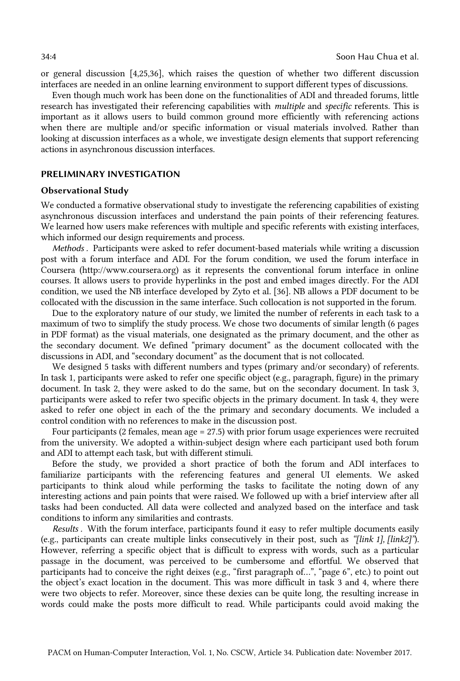or general discussion [4,25,36], which raises the question of whether two different discussion interfaces are needed in an online learning environment to support different types of discussions.

Even though much work has been done on the functionalities of ADI and threaded forums, little research has investigated their referencing capabilities with *multiple* and *specific* referents. This is important as it allows users to build common ground more efficiently with referencing actions when there are multiple and/or specific information or visual materials involved. Rather than looking at discussion interfaces as a whole, we investigate design elements that support referencing actions in asynchronous discussion interfaces.

#### **PRELIMINARY INVESTIGATION**

#### **Observational Study**

We conducted a formative observational study to investigate the referencing capabilities of existing asynchronous discussion interfaces and understand the pain points of their referencing features. We learned how users make references with multiple and specific referents with existing interfaces, which informed our design requirements and process.

*Methods .* Participants were asked to refer document-based materials while writing a discussion post with a forum interface and ADI. For the forum condition, we used the forum interface in Coursera (http://www.coursera.org) as it represents the conventional forum interface in online courses. It allows users to provide hyperlinks in the post and embed images directly. For the ADI condition, we used the NB interface developed by Zyto et al. [36]. NB allows a PDF document to be collocated with the discussion in the same interface. Such collocation is not supported in the forum.

Due to the exploratory nature of our study, we limited the number of referents in each task to a maximum of two to simplify the study process. We chose two documents of similar length (6 pages in PDF format) as the visual materials, one designated as the primary document, and the other as the secondary document. We defined "primary document" as the document collocated with the discussions in ADI, and "secondary document" as the document that is not collocated.

We designed 5 tasks with different numbers and types (primary and/or secondary) of referents. In task 1, participants were asked to refer one specific object (e.g., paragraph, figure) in the primary document. In task 2, they were asked to do the same, but on the secondary document. In task 3, participants were asked to refer two specific objects in the primary document. In task 4, they were asked to refer one object in each of the the primary and secondary documents. We included a control condition with no references to make in the discussion post.

Four participants (2 females, mean age = 27.5) with prior forum usage experiences were recruited from the university. We adopted a within-subject design where each participant used both forum and ADI to attempt each task, but with different stimuli.

Before the study, we provided a short practice of both the forum and ADI interfaces to familiarize participants with the referencing features and general UI elements. We asked participants to think aloud while performing the tasks to facilitate the noting down of any interesting actions and pain points that were raised. We followed up with a brief interview after all tasks had been conducted. All data were collected and analyzed based on the interface and task conditions to inform any similarities and contrasts.

*Results .* With the forum interface, participants found it easy to refer multiple documents easily (e.g., participants can create multiple links consecutively in their post, such as *"[link 1], [link2]"*). However, referring a specific object that is difficult to express with words, such as a particular passage in the document, was perceived to be cumbersome and effortful. We observed that participants had to conceive the right deixes (e.g., "first paragraph of…", "page 6", etc.) to point out the object's exact location in the document. This was more difficult in task 3 and 4, where there were two objects to refer. Moreover, since these dexies can be quite long, the resulting increase in words could make the posts more difficult to read. While participants could avoid making the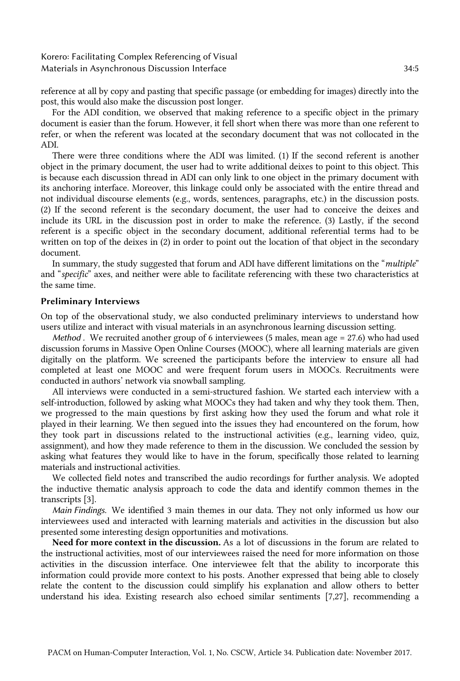reference at all by copy and pasting that specific passage (or embedding for images) directly into the post, this would also make the discussion post longer.

For the ADI condition, we observed that making reference to a specific object in the primary document is easier than the forum. However, it fell short when there was more than one referent to refer, or when the referent was located at the secondary document that was not collocated in the ADI.

There were three conditions where the ADI was limited. (1) If the second referent is another object in the primary document, the user had to write additional deixes to point to this object. This is because each discussion thread in ADI can only link to one object in the primary document with its anchoring interface. Moreover, this linkage could only be associated with the entire thread and not individual discourse elements (e.g., words, sentences, paragraphs, etc.) in the discussion posts. (2) If the second referent is the secondary document, the user had to conceive the deixes and include its URL in the discussion post in order to make the reference. (3) Lastly, if the second referent is a specific object in the secondary document, additional referential terms had to be written on top of the deixes in (2) in order to point out the location of that object in the secondary document.

In summary, the study suggested that forum and ADI have different limitations on the "*multiple*" and "*specific*" axes, and neither were able to facilitate referencing with these two characteristics at the same time.

#### **Preliminary Interviews**

On top of the observational study, we also conducted preliminary interviews to understand how users utilize and interact with visual materials in an asynchronous learning discussion setting.

*Method .* We recruited another group of 6 interviewees (5 males, mean age = 27.6) who had used discussion forums in Massive Open Online Courses (MOOC), where all learning materials are given digitally on the platform. We screened the participants before the interview to ensure all had completed at least one MOOC and were frequent forum users in MOOCs. Recruitments were conducted in authors' network via snowball sampling.

All interviews were conducted in a semi-structured fashion. We started each interview with a self-introduction, followed by asking what MOOCs they had taken and why they took them. Then, we progressed to the main questions by first asking how they used the forum and what role it played in their learning. We then segued into the issues they had encountered on the forum, how they took part in discussions related to the instructional activities (e.g., learning video, quiz, assignment), and how they made reference to them in the discussion. We concluded the session by asking what features they would like to have in the forum, specifically those related to learning materials and instructional activities.

We collected field notes and transcribed the audio recordings for further analysis. We adopted the inductive thematic analysis approach to code the data and identify common themes in the transcripts [3].

*Main Findings.* We identified 3 main themes in our data. They not only informed us how our interviewees used and interacted with learning materials and activities in the discussion but also presented some interesting design opportunities and motivations.

**Need for more context in the discussion.** As a lot of discussions in the forum are related to the instructional activities, most of our interviewees raised the need for more information on those activities in the discussion interface. One interviewee felt that the ability to incorporate this information could provide more context to his posts. Another expressed that being able to closely relate the content to the discussion could simplify his explanation and allow others to better understand his idea. Existing research also echoed similar sentiments [7,27], recommending a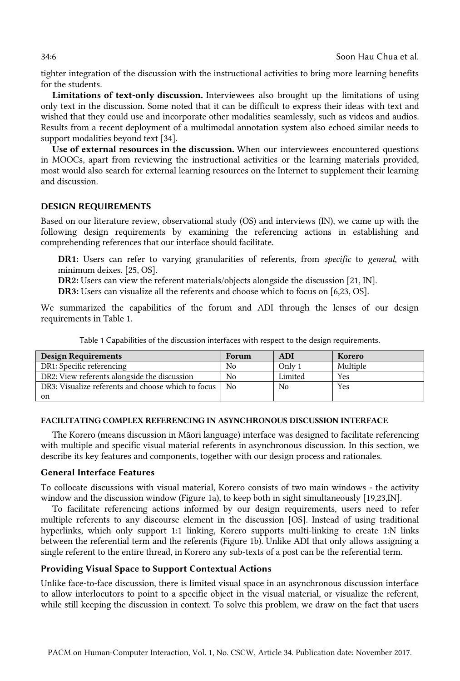tighter integration of the discussion with the instructional activities to bring more learning benefits for the students.

**Limitations of text-only discussion.** Interviewees also brought up the limitations of using only text in the discussion. Some noted that it can be difficult to express their ideas with text and wished that they could use and incorporate other modalities seamlessly, such as videos and audios. Results from a recent deployment of a multimodal annotation system also echoed similar needs to support modalities beyond text [34].

**Use of external resources in the discussion.** When our interviewees encountered questions in MOOCs, apart from reviewing the instructional activities or the learning materials provided, most would also search for external learning resources on the Internet to supplement their learning and discussion.

#### **DESIGN REQUIREMENTS**

Based on our literature review, observational study (OS) and interviews (IN), we came up with the following design requirements by examining the referencing actions in establishing and comprehending references that our interface should facilitate.

**DR1:** Users can refer to varying granularities of referents, from *specific* to *general*, with minimum deixes. [25, OS].

**DR2:** Users can view the referent materials/objects alongside the discussion [21, IN].

**DR3:** Users can visualize all the referents and choose which to focus on [6,23, OS].

<span id="page-5-0"></span>We summarized the capabilities of the forum and ADI through the lenses of our design requirements in [Table 1.](#page-5-0)

| <b>Design Requirements</b>                         | Forum          | ADI     | Korero   |
|----------------------------------------------------|----------------|---------|----------|
| DR1: Specific referencing                          | No             | Only 1  | Multiple |
| DR2: View referents alongside the discussion       | No             | Limited | Yes      |
| DR3: Visualize referents and choose which to focus | N <sub>0</sub> | No      | Yes      |
| on                                                 |                |         |          |

Table 1 Capabilities of the discussion interfaces with respect to the design requirements.

#### **FACILITATING COMPLEX REFERENCING IN ASYNCHRONOUS DISCUSSION INTERFACE**

The Korero (means discussion in Māori language) interface was designed to facilitate referencing with multiple and specific visual material referents in asynchronous discussion. In this section, we describe its key features and components, together with our design process and rationales.

#### **General Interface Features**

To collocate discussions with visual material, Korero consists of two main windows - the activity window and the discussion window [\(Figure 1a](#page-6-0)), to keep both in sight simultaneously [19,23,IN].

To facilitate referencing actions informed by our design requirements, users need to refer multiple referents to any discourse element in the discussion [OS]. Instead of using traditional hyperlinks, which only support 1:1 linking, Korero supports multi-linking to create 1:N links between the referential term and the referents [\(Figure 1b](#page-6-0)). Unlike ADI that only allows assigning a single referent to the entire thread, in Korero any sub-texts of a post can be the referential term.

### **Providing Visual Space to Support Contextual Actions**

Unlike face-to-face discussion, there is limited visual space in an asynchronous discussion interface to allow interlocutors to point to a specific object in the visual material, or visualize the referent, while still keeping the discussion in context. To solve this problem, we draw on the fact that users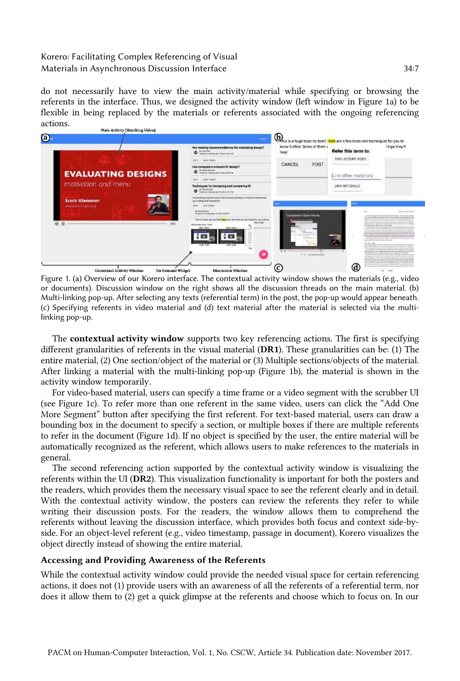do not necessarily have to view the main activity/material while specifying or browsing the referents in the interface. Thus, we designed the activity window (left window in [Figure 1a](#page-6-0)) to be flexible in being replaced by the materials or referents associated with the ongoing referencing actions. Main Activity (Watching Video)



<span id="page-6-0"></span>Figure 1. (a) Overview of our Korero interface. The contextual activity window shows the materials (e.g., video or documents). Discussion window on the right shows all the discussion threads on the main material. (b) Multi-linking pop-up. After selecting any texts (referential term) in the post, the pop-up would appear beneath. (c) Specifying referents in video material and (d) text material after the material is selected via the multilinking pop-up.

The **contextual activity window** supports two key referencing actions. The first is specifying different granularities of referents in the visual material (**DR1**). These granularities can be: (1) The entire material, (2) One section/object of the material or (3) Multiple sections/objects of the material. After linking a material with the multi-linking pop-up [\(Figure 1b](#page-6-0)), the material is shown in the activity window temporarily.

For video-based material, users can specify a time frame or a video segment with the scrubber UI (see [Figure 1c](#page-6-0)). To refer more than one referent in the same video, users can click the "Add One More Segment" button after specifying the first referent. For text-based material, users can draw a bounding box in the document to specify a section, or multiple boxes if there are multiple referents to refer in the document [\(Figure 1d](#page-6-0)). If no object is specified by the user, the entire material will be automatically recognized as the referent, which allows users to make references to the materials in general.

The second referencing action supported by the contextual activity window is visualizing the referents within the UI (**DR2**). This visualization functionality is important for both the posters and the readers, which provides them the necessary visual space to see the referent clearly and in detail. With the contextual activity window, the posters can review the referents they refer to while writing their discussion posts. For the readers, the window allows them to comprehend the referents without leaving the discussion interface, which provides both focus and context side-byside. For an object-level referent (e.g., video timestamp, passage in document), Korero visualizes the object directly instead of showing the entire material.

## **Accessing and Providing Awareness of the Referents**

While the contextual activity window could provide the needed visual space for certain referencing actions, it does not (1) provide users with an awareness of all the referents of a referential term, nor does it allow them to (2) get a quick glimpse at the referents and choose which to focus on. In our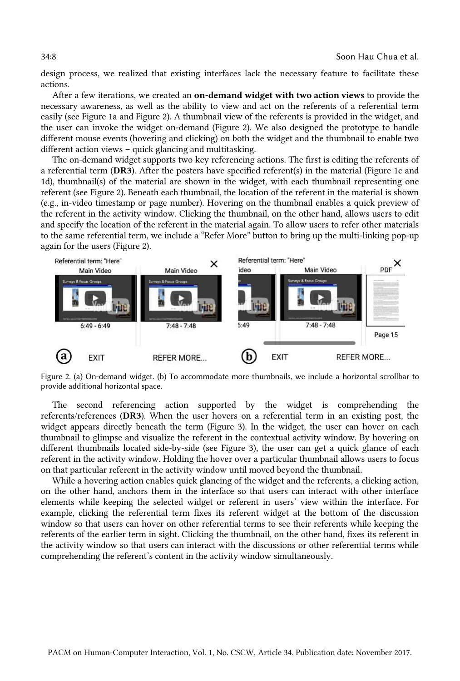design process, we realized that existing interfaces lack the necessary feature to facilitate these actions.

After a few iterations, we created an **on-demand widget with two action views** to provide the necessary awareness, as well as the ability to view and act on the referents of a referential term easily (see [Figure 1a](#page-6-0) and [Figure 2\)](#page-7-0). A thumbnail view of the referents is provided in the widget, and the user can invoke the widget on-demand [\(Figure 2\)](#page-7-0). We also designed the prototype to handle different mouse events (hovering and clicking) on both the widget and the thumbnail to enable two different action views – quick glancing and multitasking.

The on-demand widget supports two key referencing actions. The first is editing the referents of a referential term (**DR3**). After the posters have specified referent(s) in the material [\(Figure 1c](#page-6-0) and  $1d$ ), thumbnail(s) of the material are shown in the widget, with each thumbnail representing one referent (see [Figure 2\)](#page-7-0). Beneath each thumbnail, the location of the referent in the material is shown (e.g., in-video timestamp or page number). Hovering on the thumbnail enables a quick preview of the referent in the activity window. Clicking the thumbnail, on the other hand, allows users to edit and specify the location of the referent in the material again. To allow users to refer other materials to the same referential term, we include a "Refer More" button to bring up the multi-linking pop-up again for the users [\(Figure 2\)](#page-7-0).



Figure 2. (a) On-demand widget. (b) To accommodate more thumbnails, we include a horizontal scrollbar to provide additional horizontal space.

<span id="page-7-0"></span>The second referencing action supported by the widget is comprehending the referents/references (**DR3**). When the user hovers on a referential term in an existing post, the widget appears directly beneath the term [\(Figure 3\)](#page-8-0). In the widget, the user can hover on each thumbnail to glimpse and visualize the referent in the contextual activity window. By hovering on different thumbnails located side-by-side (see [Figure 3\)](#page-8-0), the user can get a quick glance of each referent in the activity window. Holding the hover over a particular thumbnail allows users to focus on that particular referent in the activity window until moved beyond the thumbnail.

While a hovering action enables quick glancing of the widget and the referents, a clicking action, on the other hand, anchors them in the interface so that users can interact with other interface elements while keeping the selected widget or referent in users' view within the interface. For example, clicking the referential term fixes its referent widget at the bottom of the discussion window so that users can hover on other referential terms to see their referents while keeping the referents of the earlier term in sight. Clicking the thumbnail, on the other hand, fixes its referent in the activity window so that users can interact with the discussions or other referential terms while comprehending the referent's content in the activity window simultaneously.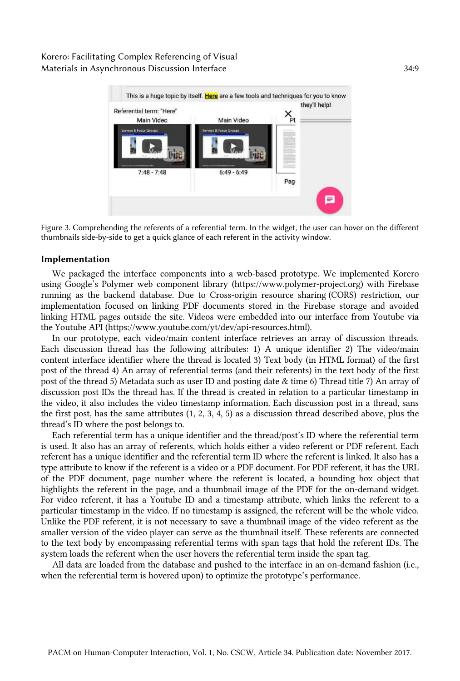

<span id="page-8-0"></span>Figure 3. Comprehending the referents of a referential term. In the widget, the user can hover on the different thumbnails side-by-side to get a quick glance of each referent in the activity window.

#### **Implementation**

We packaged the interface components into a web-based prototype. We implemented Korero using Google's Polymer web component library (https://www.polymer-project.org) with Firebase running as the backend database. Due to Cross-origin resource sharing (CORS) restriction, our implementation focused on linking PDF documents stored in the Firebase storage and avoided linking HTML pages outside the site. Videos were embedded into our interface from Youtube via the Youtube API (https://www.youtube.com/yt/dev/api-resources.html).

In our prototype, each video/main content interface retrieves an array of discussion threads. Each discussion thread has the following attributes: 1) A unique identifier 2) The video/main content interface identifier where the thread is located 3) Text body (in HTML format) of the first post of the thread 4) An array of referential terms (and their referents) in the text body of the first post of the thread 5) Metadata such as user ID and posting date & time 6) Thread title 7) An array of discussion post IDs the thread has. If the thread is created in relation to a particular timestamp in the video, it also includes the video timestamp information. Each discussion post in a thread, sans the first post, has the same attributes (1, 2, 3, 4, 5) as a discussion thread described above, plus the thread's ID where the post belongs to.

Each referential term has a unique identifier and the thread/post's ID where the referential term is used. It also has an array of referents, which holds either a video referent or PDF referent. Each referent has a unique identifier and the referential term ID where the referent is linked. It also has a type attribute to know if the referent is a video or a PDF document. For PDF referent, it has the URL of the PDF document, page number where the referent is located, a bounding box object that highlights the referent in the page, and a thumbnail image of the PDF for the on-demand widget. For video referent, it has a Youtube ID and a timestamp attribute, which links the referent to a particular timestamp in the video. If no timestamp is assigned, the referent will be the whole video. Unlike the PDF referent, it is not necessary to save a thumbnail image of the video referent as the smaller version of the video player can serve as the thumbnail itself. These referents are connected to the text body by encompassing referential terms with span tags that hold the referent IDs. The system loads the referent when the user hovers the referential term inside the span tag.

All data are loaded from the database and pushed to the interface in an on-demand fashion (i.e., when the referential term is hovered upon) to optimize the prototype's performance.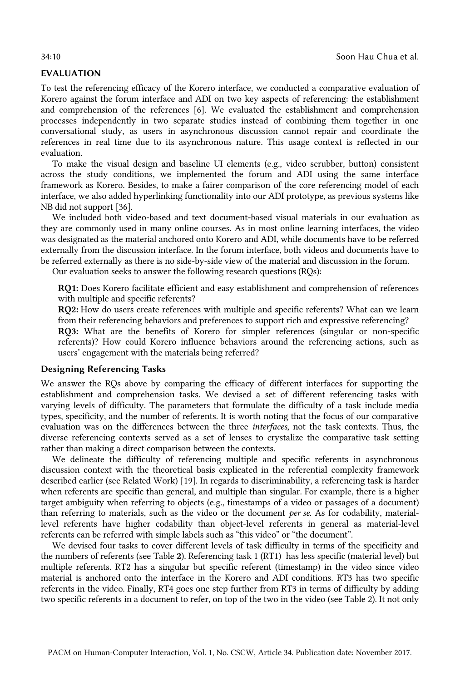## **EVALUATION**

To test the referencing efficacy of the Korero interface, we conducted a comparative evaluation of Korero against the forum interface and ADI on two key aspects of referencing: the establishment and comprehension of the references [6]. We evaluated the establishment and comprehension processes independently in two separate studies instead of combining them together in one conversational study, as users in asynchronous discussion cannot repair and coordinate the references in real time due to its asynchronous nature. This usage context is reflected in our evaluation.

To make the visual design and baseline UI elements (e.g., video scrubber, button) consistent across the study conditions, we implemented the forum and ADI using the same interface framework as Korero. Besides, to make a fairer comparison of the core referencing model of each interface, we also added hyperlinking functionality into our ADI prototype, as previous systems like NB did not support [36].

We included both video-based and text document-based visual materials in our evaluation as they are commonly used in many online courses. As in most online learning interfaces, the video was designated as the material anchored onto Korero and ADI, while documents have to be referred externally from the discussion interface. In the forum interface, both videos and documents have to be referred externally as there is no side-by-side view of the material and discussion in the forum.

Our evaluation seeks to answer the following research questions (RQs):

**RQ1:** Does Korero facilitate efficient and easy establishment and comprehension of references with multiple and specific referents?

**RQ2:** How do users create references with multiple and specific referents? What can we learn from their referencing behaviors and preferences to support rich and expressive referencing?

**RQ3:** What are the benefits of Korero for simpler references (singular or non-specific referents)? How could Korero influence behaviors around the referencing actions, such as users' engagement with the materials being referred?

### **Designing Referencing Tasks**

We answer the RQs above by comparing the efficacy of different interfaces for supporting the establishment and comprehension tasks. We devised a set of different referencing tasks with varying levels of difficulty. The parameters that formulate the difficulty of a task include media types, specificity, and the number of referents. It is worth noting that the focus of our comparative evaluation was on the differences between the three *interfaces*, not the task contexts. Thus, the diverse referencing contexts served as a set of lenses to crystalize the comparative task setting rather than making a direct comparison between the contexts.

We delineate the difficulty of referencing multiple and specific referents in asynchronous discussion context with the theoretical basis explicated in the referential complexity framework described earlier (see Related Work) [19]. In regards to discriminability, a referencing task is harder when referents are specific than general, and multiple than singular. For example, there is a higher target ambiguity when referring to objects (e.g., timestamps of a video or passages of a document) than referring to materials, such as the video or the document *per se*. As for codability, materiallevel referents have higher codability than object-level referents in general as material-level referents can be referred with simple labels such as "this video" or "the document".

We devised four tasks to cover different levels of task difficulty in terms of the specificity and the numbers of referents (see [Table](#page-10-0) **2**). Referencing task 1 (RT1) has less specific (material level) but multiple referents. RT2 has a singular but specific referent (timestamp) in the video since video material is anchored onto the interface in the Korero and ADI conditions. RT3 has two specific referents in the video. Finally, RT4 goes one step further from RT3 in terms of difficulty by adding two specific referents in a document to refer, on top of the two in the video (se[e Table 2\)](#page-10-0). It not only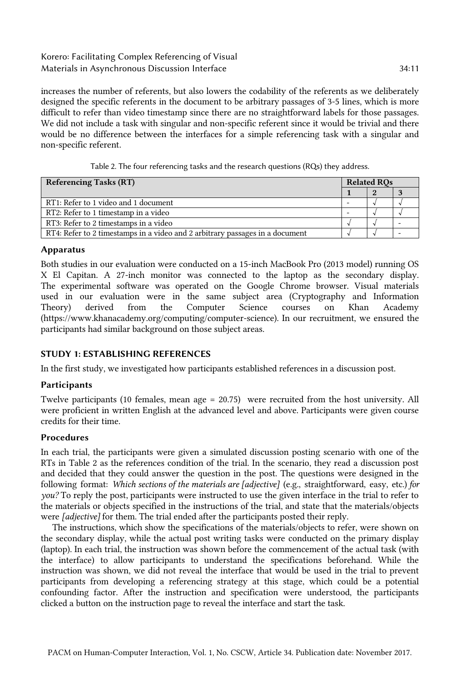increases the number of referents, but also lowers the codability of the referents as we deliberately designed the specific referents in the document to be arbitrary passages of 3-5 lines, which is more difficult to refer than video timestamp since there are no straightforward labels for those passages. We did not include a task with singular and non-specific referent since it would be trivial and there would be no difference between the interfaces for a simple referencing task with a singular and non-specific referent.

Table 2. The four referencing tasks and the research questions (RQs) they address.

<span id="page-10-0"></span>

| <b>Referencing Tasks (RT)</b>                                                |  | <b>Related ROs</b> |  |
|------------------------------------------------------------------------------|--|--------------------|--|
|                                                                              |  |                    |  |
| RT1: Refer to 1 video and 1 document                                         |  |                    |  |
| RT2: Refer to 1 timestamp in a video                                         |  |                    |  |
| RT3: Refer to 2 timestamps in a video                                        |  |                    |  |
| RT4: Refer to 2 timestamps in a video and 2 arbitrary passages in a document |  |                    |  |

## **Apparatus**

Both studies in our evaluation were conducted on a 15-inch MacBook Pro (2013 model) running OS X El Capitan. A 27-inch monitor was connected to the laptop as the secondary display. The experimental software was operated on the Google Chrome browser. Visual materials used in our evaluation were in the same subject area (Cryptography and Information Theory) derived from the Computer Science courses on Khan Academy (https://www.khanacademy.org/computing/computer-science). In our recruitment, we ensured the participants had similar background on those subject areas.

## **STUDY 1: ESTABLISHING REFERENCES**

In the first study, we investigated how participants established references in a discussion post.

## **Participants**

Twelve participants (10 females, mean age = 20.75) were recruited from the host university. All were proficient in written English at the advanced level and above. Participants were given course credits for their time.

## **Procedures**

In each trial, the participants were given a simulated discussion posting scenario with one of the RTs in [Table 2](#page-10-0) as the references condition of the trial. In the scenario, they read a discussion post and decided that they could answer the question in the post. The questions were designed in the following format: *Which sections of the materials are [adjective]* (e.g., straightforward, easy, etc.) *for you?* To reply the post, participants were instructed to use the given interface in the trial to refer to the materials or objects specified in the instructions of the trial, and state that the materials/objects were *[adjective]* for them. The trial ended after the participants posted their reply.

The instructions, which show the specifications of the materials/objects to refer, were shown on the secondary display, while the actual post writing tasks were conducted on the primary display (laptop). In each trial, the instruction was shown before the commencement of the actual task (with the interface) to allow participants to understand the specifications beforehand. While the instruction was shown, we did not reveal the interface that would be used in the trial to prevent participants from developing a referencing strategy at this stage, which could be a potential confounding factor. After the instruction and specification were understood, the participants clicked a button on the instruction page to reveal the interface and start the task.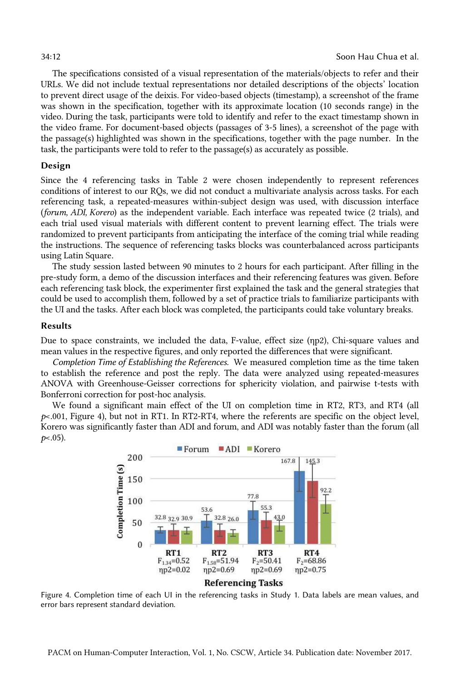The specifications consisted of a visual representation of the materials/objects to refer and their URLs. We did not include textual representations nor detailed descriptions of the objects' location to prevent direct usage of the deixis. For video-based objects (timestamp), a screenshot of the frame was shown in the specification, together with its approximate location (10 seconds range) in the video. During the task, participants were told to identify and refer to the exact timestamp shown in the video frame. For document-based objects (passages of 3-5 lines), a screenshot of the page with the passage(s) highlighted was shown in the specifications, together with the page number. In the task, the participants were told to refer to the passage(s) as accurately as possible.

## **Design**

Since the 4 referencing tasks in [Table 2](#page-10-0) were chosen independently to represent references conditions of interest to our RQs, we did not conduct a multivariate analysis across tasks. For each referencing task, a repeated-measures within-subject design was used, with discussion interface (*forum, ADI, Korero*) as the independent variable. Each interface was repeated twice (2 trials), and each trial used visual materials with different content to prevent learning effect. The trials were randomized to prevent participants from anticipating the interface of the coming trial while reading the instructions. The sequence of referencing tasks blocks was counterbalanced across participants using Latin Square.

The study session lasted between 90 minutes to 2 hours for each participant. After filling in the pre-study form, a demo of the discussion interfaces and their referencing features was given. Before each referencing task block, the experimenter first explained the task and the general strategies that could be used to accomplish them, followed by a set of practice trials to familiarize participants with the UI and the tasks. After each block was completed, the participants could take voluntary breaks.

## **Results**

Due to space constraints, we included the data, F-value, effect size (ηp2), Chi-square values and mean values in the respective figures, and only reported the differences that were significant.

*Completion Time of Establishing the References.* We measured completion time as the time taken to establish the reference and post the reply. The data were analyzed using repeated-measures ANOVA with Greenhouse-Geisser corrections for sphericity violation, and pairwise t-tests with Bonferroni correction for post-hoc analysis.

We found a significant main effect of the UI on completion time in RT2, RT3, and RT4 (all  $p$  <.001, [Figure 4\)](#page-11-0), but not in RT1. In RT2-RT4, where the referents are specific on the object level, Korero was significantly faster than ADI and forum, and ADI was notably faster than the forum (all *p*<.05).



<span id="page-11-0"></span>Figure 4. Completion time of each UI in the referencing tasks in Study 1. Data labels are mean values, and error bars represent standard deviation.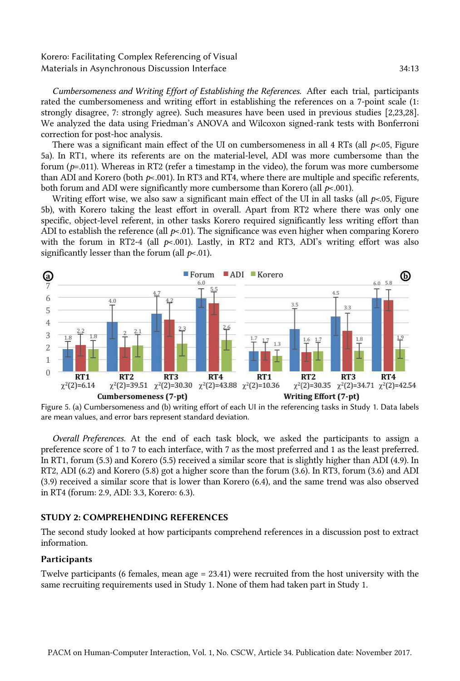*Cumbersomeness and Writing Effort of Establishing the References.* After each trial, participants rated the cumbersomeness and writing effort in establishing the references on a 7-point scale (1: strongly disagree, 7: strongly agree). Such measures have been used in previous studies [2,23,28]. We analyzed the data using Friedman's ANOVA and Wilcoxon signed-rank tests with Bonferroni correction for post-hoc analysis.

There was a significant main effect of the UI on cumbersomeness in all 4 RTs (all *p<*.05, [Figure](#page-12-0)  [5a](#page-12-0)). In RT1, where its referents are on the material-level, ADI was more cumbersome than the forum  $(p=011)$ . Whereas in RT2 (refer a timestamp in the video), the forum was more cumbersome than ADI and Korero (both  $p<0.01$ ). In RT3 and RT4, where there are multiple and specific referents, both forum and ADI were significantly more cumbersome than Korero (all  $p<0.001$ ).

Writing effort wise, we also saw a significant main effect of the UI in all tasks (all *p<*.05, [Figure](#page-12-0)  [5b](#page-12-0)), with Korero taking the least effort in overall. Apart from RT2 where there was only one specific, object-level referent, in other tasks Korero required significantly less writing effort than ADI to establish the reference (all  $p<.01$ ). The significance was even higher when comparing Korero with the forum in RT2-4 (all  $p<0.001$ ). Lastly, in RT2 and RT3, ADI's writing effort was also significantly lesser than the forum (all  $p<0$ .01).



<span id="page-12-0"></span>Figure 5. (a) Cumbersomeness and (b) writing effort of each UI in the referencing tasks in Study 1. Data labels are mean values, and error bars represent standard deviation.

*Overall Preferences.* At the end of each task block, we asked the participants to assign a preference score of 1 to 7 to each interface, with 7 as the most preferred and 1 as the least preferred. In RT1, forum (5.3) and Korero (5.5) received a similar score that is slightly higher than ADI (4.9). In RT2, ADI (6.2) and Korero (5.8) got a higher score than the forum (3.6). In RT3, forum (3.6) and ADI (3.9) received a similar score that is lower than Korero (6.4), and the same trend was also observed in RT4 (forum: 2.9, ADI: 3.3, Korero: 6.3).

#### **STUDY 2: COMPREHENDING REFERENCES**

The second study looked at how participants comprehend references in a discussion post to extract information.

#### **Participants**

Twelve participants (6 females, mean age = 23.41) were recruited from the host university with the same recruiting requirements used in Study 1. None of them had taken part in Study 1.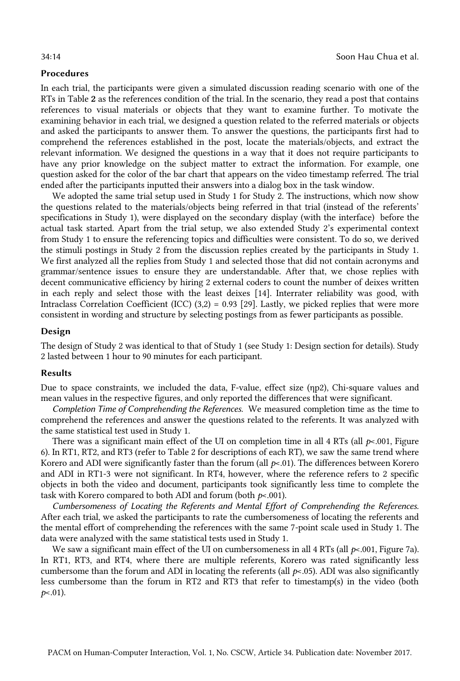## **Procedures**

In each trial, the participants were given a simulated discussion reading scenario with one of the RTs i[n Table](#page-10-0) **2** as the references condition of the trial. In the scenario, they read a post that contains references to visual materials or objects that they want to examine further. To motivate the examining behavior in each trial, we designed a question related to the referred materials or objects and asked the participants to answer them. To answer the questions, the participants first had to comprehend the references established in the post, locate the materials/objects, and extract the relevant information. We designed the questions in a way that it does not require participants to have any prior knowledge on the subject matter to extract the information. For example, one question asked for the color of the bar chart that appears on the video timestamp referred. The trial ended after the participants inputted their answers into a dialog box in the task window.

We adopted the same trial setup used in Study 1 for Study 2. The instructions, which now show the questions related to the materials/objects being referred in that trial (instead of the referents' specifications in Study 1), were displayed on the secondary display (with the interface) before the actual task started. Apart from the trial setup, we also extended Study 2's experimental context from Study 1 to ensure the referencing topics and difficulties were consistent. To do so, we derived the stimuli postings in Study 2 from the discussion replies created by the participants in Study 1. We first analyzed all the replies from Study 1 and selected those that did not contain acronyms and grammar/sentence issues to ensure they are understandable. After that, we chose replies with decent communicative efficiency by hiring 2 external coders to count the number of deixes written in each reply and select those with the least deixes [14]. Interrater reliability was good, with Intraclass Correlation Coefficient (ICC) (3,2) = 0.93 [29]. Lastly, we picked replies that were more consistent in wording and structure by selecting postings from as fewer participants as possible.

## **Design**

The design of Study 2 was identical to that of Study 1 (see Study 1: Design section for details). Study 2 lasted between 1 hour to 90 minutes for each participant.

## **Results**

Due to space constraints, we included the data, F-value, effect size (ηp2), Chi-square values and mean values in the respective figures, and only reported the differences that were significant.

*Completion Time of Comprehending the References.* We measured completion time as the time to comprehend the references and answer the questions related to the referents. It was analyzed with the same statistical test used in Study 1.

There was a significant main effect of the UI on completion time in all 4 RTs (all  $p<0.001$ , Figure [6\)](#page-14-0). In RT1, RT2, and RT3 (refer t[o Table 2 f](#page-10-0)or descriptions of each RT), we saw the same trend where Korero and ADI were significantly faster than the forum (all  $p<0$ ). The differences between Korero and ADI in RT1-3 were not significant. In RT4, however, where the reference refers to 2 specific objects in both the video and document, participants took significantly less time to complete the task with Korero compared to both ADI and forum (both *p*<.001).

*Cumbersomeness of Locating the Referents and Mental Effort of Comprehending the References.* After each trial, we asked the participants to rate the cumbersomeness of locating the referents and the mental effort of comprehending the references with the same 7-point scale used in Study 1. The data were analyzed with the same statistical tests used in Study 1.

We saw a significant main effect of the UI on cumbersomeness in all  $4 RTs$  (all  $p<.001$ , [Figure 7a](#page-14-1)). In RT1, RT3, and RT4, where there are multiple referents, Korero was rated significantly less cumbersome than the forum and ADI in locating the referents (all  $p<0.05$ ). ADI was also significantly less cumbersome than the forum in RT2 and RT3 that refer to timestamp(s) in the video (both *p*<.01).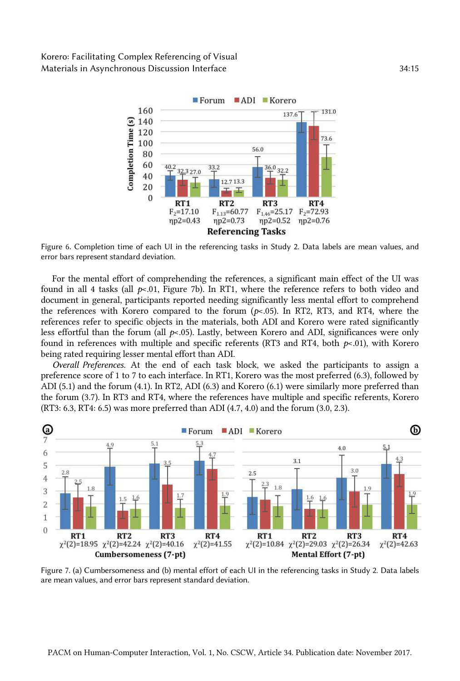

<span id="page-14-0"></span>Figure 6. Completion time of each UI in the referencing tasks in Study 2. Data labels are mean values, and error bars represent standard deviation.

For the mental effort of comprehending the references, a significant main effect of the UI was found in all 4 tasks (all  $p<0.01$ , [Figure 7b](#page-14-1)). In RT1, where the reference refers to both video and document in general, participants reported needing significantly less mental effort to comprehend the references with Korero compared to the forum (*p*<.05). In RT2, RT3, and RT4, where the references refer to specific objects in the materials, both ADI and Korero were rated significantly less effortful than the forum (all  $p<0.05$ ). Lastly, between Korero and ADI, significances were only found in references with multiple and specific referents (RT3 and RT4, both  $p<0$ ), with Korero being rated requiring lesser mental effort than ADI.

*Overall Preferences.* At the end of each task block, we asked the participants to assign a preference score of 1 to 7 to each interface. In RT1, Korero was the most preferred (6.3), followed by ADI (5.1) and the forum (4.1). In RT2, ADI (6.3) and Korero (6.1) were similarly more preferred than the forum (3.7). In RT3 and RT4, where the references have multiple and specific referents, Korero (RT3: 6.3, RT4: 6.5) was more preferred than ADI (4.7, 4.0) and the forum (3.0, 2.3).



<span id="page-14-1"></span>Figure 7. (a) Cumbersomeness and (b) mental effort of each UI in the referencing tasks in Study 2. Data labels are mean values, and error bars represent standard deviation.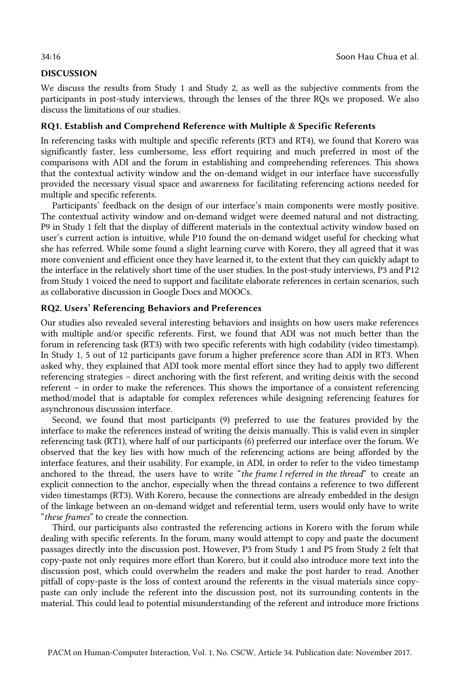## **DISCUSSION**

We discuss the results from Study 1 and Study 2, as well as the subjective comments from the participants in post-study interviews, through the lenses of the three RQs we proposed. We also discuss the limitations of our studies.

## **RQ1. Establish and Comprehend Reference with Multiple & Specific Referents**

In referencing tasks with multiple and specific referents (RT3 and RT4), we found that Korero was significantly faster, less cumbersome, less effort requiring and much preferred in most of the comparisons with ADI and the forum in establishing and comprehending references. This shows that the contextual activity window and the on-demand widget in our interface have successfully provided the necessary visual space and awareness for facilitating referencing actions needed for multiple and specific referents.

Participants' feedback on the design of our interface's main components were mostly positive. The contextual activity window and on-demand widget were deemed natural and not distracting. P9 in Study 1 felt that the display of different materials in the contextual activity window based on user's current action is intuitive, while P10 found the on-demand widget useful for checking what she has referred. While some found a slight learning curve with Korero, they all agreed that it was more convenient and efficient once they have learned it, to the extent that they can quickly adapt to the interface in the relatively short time of the user studies. In the post-study interviews, P3 and P12 from Study 1 voiced the need to support and facilitate elaborate references in certain scenarios, such as collaborative discussion in Google Docs and MOOCs.

## **RQ2. Users' Referencing Behaviors and Preferences**

Our studies also revealed several interesting behaviors and insights on how users make references with multiple and/or specific referents. First, we found that ADI was not much better than the forum in referencing task (RT3) with two specific referents with high codability (video timestamp). In Study 1, 5 out of 12 participants gave forum a higher preference score than ADI in RT3. When asked why, they explained that ADI took more mental effort since they had to apply two different referencing strategies – direct anchoring with the first referent, and writing deixis with the second referent – in order to make the references. This shows the importance of a consistent referencing method/model that is adaptable for complex references while designing referencing features for asynchronous discussion interface.

Second, we found that most participants (9) preferred to use the features provided by the interface to make the references instead of writing the deixis manually. This is valid even in simpler referencing task (RT1), where half of our participants (6) preferred our interface over the forum. We observed that the key lies with how much of the referencing actions are being afforded by the interface features, and their usability. For example, in ADI, in order to refer to the video timestamp anchored to the thread, the users have to write "*the frame I referred in the thread*" to create an explicit connection to the anchor, especially when the thread contains a reference to two different video timestamps (RT3). With Korero, because the connections are already embedded in the design of the linkage between an on-demand widget and referential term, users would only have to write "*these frames*" to create the connection.

Third, our participants also contrasted the referencing actions in Korero with the forum while dealing with specific referents. In the forum, many would attempt to copy and paste the document passages directly into the discussion post. However, P3 from Study 1 and P5 from Study 2 felt that copy-paste not only requires more effort than Korero, but it could also introduce more text into the discussion post, which could overwhelm the readers and make the post harder to read. Another pitfall of copy-paste is the loss of context around the referents in the visual materials since copypaste can only include the referent into the discussion post, not its surrounding contents in the material. This could lead to potential misunderstanding of the referent and introduce more frictions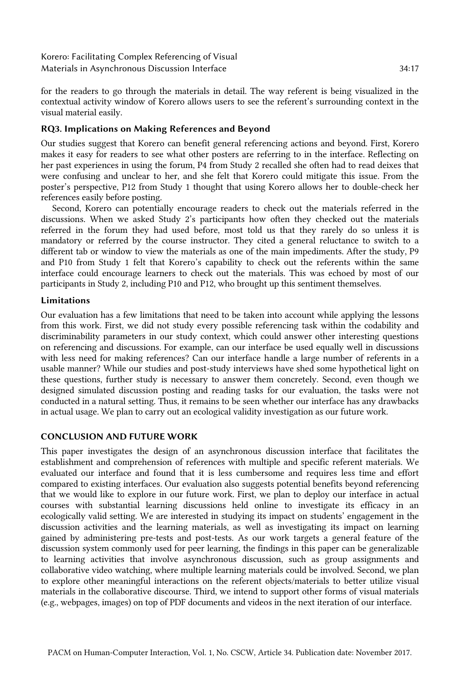for the readers to go through the materials in detail. The way referent is being visualized in the contextual activity window of Korero allows users to see the referent's surrounding context in the visual material easily.

## **RQ3. Implications on Making References and Beyond**

Our studies suggest that Korero can benefit general referencing actions and beyond. First, Korero makes it easy for readers to see what other posters are referring to in the interface. Reflecting on her past experiences in using the forum, P4 from Study 2 recalled she often had to read deixes that were confusing and unclear to her, and she felt that Korero could mitigate this issue. From the poster's perspective, P12 from Study 1 thought that using Korero allows her to double-check her references easily before posting.

Second, Korero can potentially encourage readers to check out the materials referred in the discussions. When we asked Study 2's participants how often they checked out the materials referred in the forum they had used before, most told us that they rarely do so unless it is mandatory or referred by the course instructor. They cited a general reluctance to switch to a different tab or window to view the materials as one of the main impediments. After the study, P9 and P10 from Study 1 felt that Korero's capability to check out the referents within the same interface could encourage learners to check out the materials. This was echoed by most of our participants in Study 2, including P10 and P12, who brought up this sentiment themselves.

### **Limitations**

Our evaluation has a few limitations that need to be taken into account while applying the lessons from this work. First, we did not study every possible referencing task within the codability and discriminability parameters in our study context, which could answer other interesting questions on referencing and discussions. For example, can our interface be used equally well in discussions with less need for making references? Can our interface handle a large number of referents in a usable manner? While our studies and post-study interviews have shed some hypothetical light on these questions, further study is necessary to answer them concretely. Second, even though we designed simulated discussion posting and reading tasks for our evaluation, the tasks were not conducted in a natural setting. Thus, it remains to be seen whether our interface has any drawbacks in actual usage. We plan to carry out an ecological validity investigation as our future work.

## **CONCLUSION AND FUTURE WORK**

This paper investigates the design of an asynchronous discussion interface that facilitates the establishment and comprehension of references with multiple and specific referent materials. We evaluated our interface and found that it is less cumbersome and requires less time and effort compared to existing interfaces. Our evaluation also suggests potential benefits beyond referencing that we would like to explore in our future work. First, we plan to deploy our interface in actual courses with substantial learning discussions held online to investigate its efficacy in an ecologically valid setting. We are interested in studying its impact on students' engagement in the discussion activities and the learning materials, as well as investigating its impact on learning gained by administering pre-tests and post-tests. As our work targets a general feature of the discussion system commonly used for peer learning, the findings in this paper can be generalizable to learning activities that involve asynchronous discussion, such as group assignments and collaborative video watching, where multiple learning materials could be involved. Second, we plan to explore other meaningful interactions on the referent objects/materials to better utilize visual materials in the collaborative discourse. Third, we intend to support other forms of visual materials (e.g., webpages, images) on top of PDF documents and videos in the next iteration of our interface.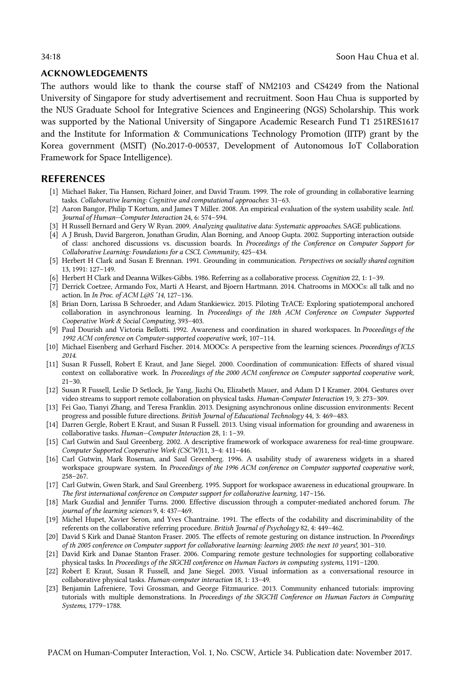## **ACKNOWLEDGEMENTS**

The authors would like to thank the course staff of NM2103 and CS4249 from the National University of Singapore for study advertisement and recruitment. Soon Hau Chua is supported by the NUS Graduate School for Integrative Sciences and Engineering (NGS) Scholarship. This work was supported by the National University of Singapore Academic Research Fund T1 251RES1617 and the Institute for Information & Communications Technology Promotion (IITP) grant by the Korea government (MSIT) (No.2017-0-00537, Development of Autonomous IoT Collaboration Framework for Space Intelligence).

## **REFERENCES**

- [1] Michael Baker, Tia Hansen, Richard Joiner, and David Traum. 1999. The role of grounding in collaborative learning tasks. *Collaborative learning: Cognitive and computational approaches*: 31–63.
- [2] Aaron Bangor, Philip T Kortum, and James T Miller. 2008. An empirical evaluation of the system usability scale. *Intl. Journal of Human--Computer Interaction* 24, 6: 574–594.
- [3] H Russell Bernard and Gery W Ryan. 2009. *Analyzing qualitative data: Systematic approaches*. SAGE publications.
- [4] A J Brush, David Bargeron, Jonathan Grudin, Alan Borning, and Anoop Gupta. 2002. Supporting interaction outside of class: anchored discussions vs. discussion boards. In *Proceedings of the Conference on Computer Support for Collaborative Learning: Foundations for a CSCL Community*, 425–434.
- [5] Herbert H Clark and Susan E Brennan. 1991. Grounding in communication. *Perspectives on socially shared cognition* 13, 1991: 127–149.
- [6] Herbert H Clark and Deanna Wilkes-Gibbs. 1986. Referring as a collaborative process. *Cognition* 22, 1: 1–39.
- [7] Derrick Coetzee, Armando Fox, Marti A Hearst, and Bjoern Hartmann. 2014. Chatrooms in MOOCs: all talk and no action. In *In Proc. of ACM L@S '14*, 127–136.
- [8] Brian Dorn, Larissa B Schroeder, and Adam Stankiewicz. 2015. Piloting TrACE: Exploring spatiotemporal anchored collaboration in asynchronous learning. In *Proceedings of the 18th ACM Conference on Computer Supported Cooperative Work & Social Computing*, 393–403.
- [9] Paul Dourish and Victoria Bellotti. 1992. Awareness and coordination in shared workspaces. In *Proceedings of the 1992 ACM conference on Computer-supported cooperative work*, 107–114.
- [10] Michael Eisenberg and Gerhard Fischer. 2014. MOOCs: A perspective from the learning sciences. *Proceedings of ICLS 2014*.
- [11] Susan R Fussell, Robert E Kraut, and Jane Siegel. 2000. Coordination of communication: Effects of shared visual context on collaborative work. In *Proceedings of the 2000 ACM conference on Computer supported cooperative work*, 21–30.
- [12] Susan R Fussell, Leslie D Setlock, Jie Yang, Jiazhi Ou, Elizabeth Mauer, and Adam D I Kramer. 2004. Gestures over video streams to support remote collaboration on physical tasks. *Human-Computer Interaction* 19, 3: 273–309.
- [13] Fei Gao, Tianyi Zhang, and Teresa Franklin. 2013. Designing asynchronous online discussion environments: Recent progress and possible future directions. *British Journal of Educational Technology* 44, 3: 469–483.
- [14] Darren Gergle, Robert E Kraut, and Susan R Fussell. 2013. Using visual information for grounding and awareness in collaborative tasks. *Human--Computer Interaction* 28, 1: 1–39.
- [15] Carl Gutwin and Saul Greenberg. 2002. A descriptive framework of workspace awareness for real-time groupware. *Computer Supported Cooperative Work (CSCW)*11, 3–4: 411–446.
- [16] Carl Gutwin, Mark Roseman, and Saul Greenberg. 1996. A usability study of awareness widgets in a shared workspace groupware system. In *Proceedings of the 1996 ACM conference on Computer supported cooperative work*, 258–267.
- [17] Carl Gutwin, Gwen Stark, and Saul Greenberg. 1995. Support for workspace awareness in educational groupware. In *The first international conference on Computer support for collaborative learning*, 147–156.
- [18] Mark Guzdial and Jennifer Turns. 2000. Effective discussion through a computer-mediated anchored forum. *The journal of the learning sciences* 9, 4: 437–469.
- [19] Michel Hupet, Xavier Seron, and Yves Chantraine. 1991. The effects of the codability and discriminability of the referents on the collaborative referring procedure. *British Journal of Psychology* 82, 4: 449–462.
- [20] David S Kirk and Danaë Stanton Fraser. 2005. The effects of remote gesturing on distance instruction. In *Proceedings of th 2005 conference on Computer support for collaborative learning: learning 2005: the next 10 years!*, 301–310.
- [21] David Kirk and Danae Stanton Fraser. 2006. Comparing remote gesture technologies for supporting collaborative physical tasks. In *Proceedings of the SIGCHI conference on Human Factors in computing systems*, 1191–1200.
- [22] Robert E Kraut, Susan R Fussell, and Jane Siegel. 2003. Visual information as a conversational resource in collaborative physical tasks. *Human-computer interaction* 18, 1: 13–49.
- [23] Benjamin Lafreniere, Tovi Grossman, and George Fitzmaurice. 2013. Community enhanced tutorials: improving tutorials with multiple demonstrations. In *Proceedings of the SIGCHI Conference on Human Factors in Computing Systems*, 1779–1788.